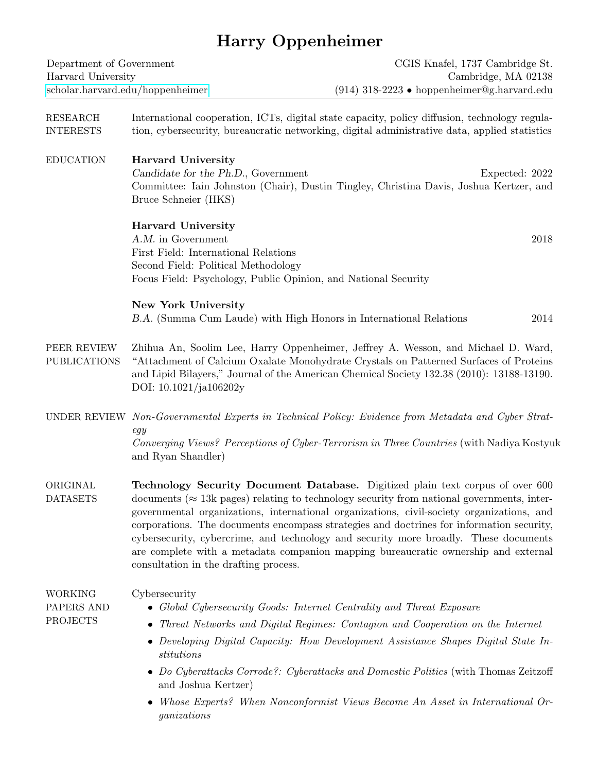# Harry Oppenheimer

| Department of Government<br>Harvard University  | scholar.harvard.edu/hoppenheimer                                                                                                                                                                                                                                                                                                                                                                                                                                                             | CGIS Knafel, 1737 Cambridge St.<br>Cambridge, MA 02138<br>(914) 318-2223 • hoppenheimer@g.harvard.edu                                                                                                                                                                                                                                                                                                                                                                                                                                                       |  |  |
|-------------------------------------------------|----------------------------------------------------------------------------------------------------------------------------------------------------------------------------------------------------------------------------------------------------------------------------------------------------------------------------------------------------------------------------------------------------------------------------------------------------------------------------------------------|-------------------------------------------------------------------------------------------------------------------------------------------------------------------------------------------------------------------------------------------------------------------------------------------------------------------------------------------------------------------------------------------------------------------------------------------------------------------------------------------------------------------------------------------------------------|--|--|
| RESEARCH<br><b>INTERESTS</b>                    |                                                                                                                                                                                                                                                                                                                                                                                                                                                                                              | International cooperation, ICTs, digital state capacity, policy diffusion, technology regula-<br>tion, cybersecurity, bureaucratic networking, digital administrative data, applied statistics                                                                                                                                                                                                                                                                                                                                                              |  |  |
| <b>EDUCATION</b>                                | <b>Harvard University</b><br>Candidate for the Ph.D., Government<br>Bruce Schneier (HKS)                                                                                                                                                                                                                                                                                                                                                                                                     | Expected: 2022<br>Committee: Iain Johnston (Chair), Dustin Tingley, Christina Davis, Joshua Kertzer, and                                                                                                                                                                                                                                                                                                                                                                                                                                                    |  |  |
|                                                 | <b>Harvard University</b><br>A.M. in Government<br>First Field: International Relations<br>Second Field: Political Methodology<br>Focus Field: Psychology, Public Opinion, and National Security                                                                                                                                                                                                                                                                                             | 2018                                                                                                                                                                                                                                                                                                                                                                                                                                                                                                                                                        |  |  |
|                                                 | <b>New York University</b><br>B.A. (Summa Cum Laude) with High Honors in International Relations                                                                                                                                                                                                                                                                                                                                                                                             | 2014                                                                                                                                                                                                                                                                                                                                                                                                                                                                                                                                                        |  |  |
| PEER REVIEW<br><b>PUBLICATIONS</b>              | DOI: 10.1021/ja106202y                                                                                                                                                                                                                                                                                                                                                                                                                                                                       | Zhihua An, Soolim Lee, Harry Oppenheimer, Jeffrey A. Wesson, and Michael D. Ward,<br>"Attachment of Calcium Oxalate Monohydrate Crystals on Patterned Surfaces of Proteins<br>and Lipid Bilayers," Journal of the American Chemical Society 132.38 (2010): 13188-13190.                                                                                                                                                                                                                                                                                     |  |  |
|                                                 | UNDER REVIEW Non-Governmental Experts in Technical Policy: Evidence from Metadata and Cyber Strat-<br>egy<br>and Ryan Shandler)                                                                                                                                                                                                                                                                                                                                                              | Converging Views? Perceptions of Cyber-Terrorism in Three Countries (with Nadiya Kostyuk                                                                                                                                                                                                                                                                                                                                                                                                                                                                    |  |  |
| ORIGINAL<br><b>DATASETS</b>                     | consultation in the drafting process.                                                                                                                                                                                                                                                                                                                                                                                                                                                        | Technology Security Document Database. Digitized plain text corpus of over 600<br>documents ( $\approx$ 13k pages) relating to technology security from national governments, inter-<br>governmental organizations, international organizations, civil-society organizations, and<br>corporations. The documents encompass strategies and doctrines for information security,<br>cybersecurity, cybercrime, and technology and security more broadly. These documents<br>are complete with a metadata companion mapping bureaucratic ownership and external |  |  |
| <b>WORKING</b><br>PAPERS AND<br><b>PROJECTS</b> | Cybersecurity<br>• Global Cybersecurity Goods: Internet Centrality and Threat Exposure<br>• Threat Networks and Digital Regimes: Contagion and Cooperation on the Internet<br>• Developing Digital Capacity: How Development Assistance Shapes Digital State In-<br>stitutions<br>• Do Cyberattacks Corrode?: Cyberattacks and Domestic Politics (with Thomas Zeitzoff<br>and Joshua Kertzer)<br>Whose Experts? When Nonconformist Views Become An Asset in International Or-<br>ganizations |                                                                                                                                                                                                                                                                                                                                                                                                                                                                                                                                                             |  |  |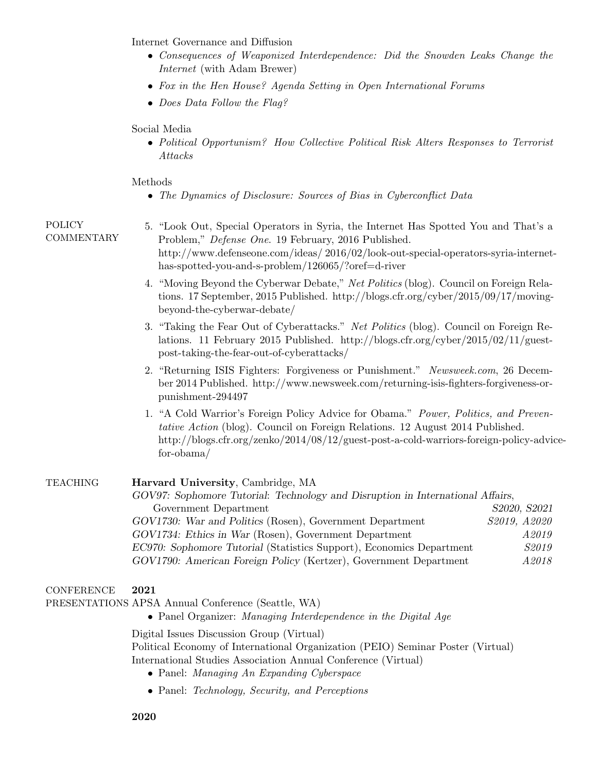Internet Governance and Diffusion

- Consequences of Weaponized Interdependence: Did the Snowden Leaks Change the Internet (with Adam Brewer)
- Fox in the Hen House? Agenda Setting in Open International Forums
- Does Data Follow the Flag?

## Social Media

• Political Opportunism? How Collective Political Risk Alters Responses to Terrorist Attacks

### Methods

• The Dynamics of Disclosure: Sources of Bias in Cyberconflict Data

## POLICY COMMENTARY

- 5. "Look Out, Special Operators in Syria, the Internet Has Spotted You and That's a Problem," Defense One. 19 February, 2016 Published. http://www.defenseone.com/ideas/ 2016/02/look-out-special-operators-syria-internethas-spotted-you-and-s-problem/126065/?oref=d-river
- 4. "Moving Beyond the Cyberwar Debate," Net Politics (blog). Council on Foreign Relations. 17 September, 2015 Published. http://blogs.cfr.org/cyber/2015/09/17/movingbeyond-the-cyberwar-debate/
- 3. "Taking the Fear Out of Cyberattacks." Net Politics (blog). Council on Foreign Relations. 11 February 2015 Published. http://blogs.cfr.org/cyber/2015/02/11/guestpost-taking-the-fear-out-of-cyberattacks/
- 2. "Returning ISIS Fighters: Forgiveness or Punishment." Newsweek.com, 26 December 2014 Published. http://www.newsweek.com/returning-isis-fighters-forgiveness-orpunishment-294497
- 1. "A Cold Warrior's Foreign Policy Advice for Obama." Power, Politics, and Preventative Action (blog). Council on Foreign Relations. 12 August 2014 Published. http://blogs.cfr.org/zenko/2014/08/12/guest-post-a-cold-warriors-foreign-policy-advicefor-obama/

## TEACHING Harvard University, Cambridge, MA

GOV97: Sophomore Tutorial: Technology and Disruption in International Affairs, Government Department S2020, S2021 GOV1730: War and Politics (Rosen), Government Department S2019, A2020 GOV1734: Ethics in War (Rosen), Government Department A2019 EC970: Sophomore Tutorial (Statistics Support), Economics Department S2019 GOV1790: American Foreign Policy (Kertzer), Government Department A2018

#### **CONFERENCE** 2021

PRESENTATIONS APSA Annual Conference (Seattle, WA)

• Panel Organizer: Managing Interdependence in the Digital Age

Digital Issues Discussion Group (Virtual)

Political Economy of International Organization (PEIO) Seminar Poster (Virtual) International Studies Association Annual Conference (Virtual)

- Panel: *Managing An Expanding Cyberspace*
- Panel: Technology, Security, and Perceptions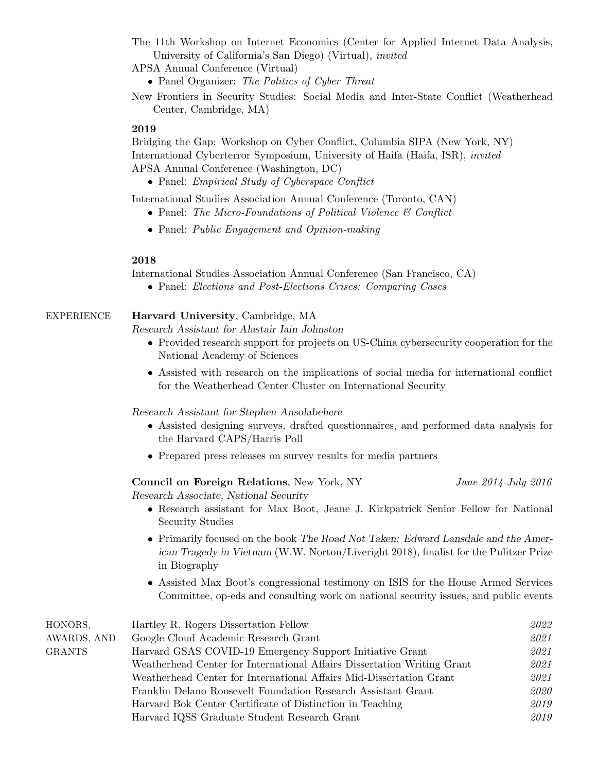The 11th Workshop on Internet Economics (Center for Applied Internet Data Analysis, University of California's San Diego) (Virtual), invited

APSA Annual Conference (Virtual)

- Panel Organizer: The Politics of Cyber Threat
- New Frontiers in Security Studies: Social Media and Inter-State Conflict (Weatherhead Center, Cambridge, MA)

## 2019

Bridging the Gap: Workshop on Cyber Conflict, Columbia SIPA (New York, NY) International Cyberterror Symposium, University of Haifa (Haifa, ISR), invited APSA Annual Conference (Washington, DC)

• Panel: *Empirical Study of Cyberspace Conflict* 

International Studies Association Annual Conference (Toronto, CAN)

- Panel: The Micro-Foundations of Political Violence & Conflict
- Panel: *Public Engagement and Opinion-making*

## 2018

International Studies Association Annual Conference (San Francisco, CA)

• Panel: Elections and Post-Elections Crises: Comparing Cases

## EXPERIENCE Harvard University, Cambridge, MA

Research Assistant for Alastair Iain Johnston

- Provided research support for projects on US-China cybersecurity cooperation for the National Academy of Sciences
- Assisted with research on the implications of social media for international conflict for the Weatherhead Center Cluster on International Security

## Research Assistant for Stephen Ansolabehere

- Assisted designing surveys, drafted questionnaires, and performed data analysis for the Harvard CAPS/Harris Poll
- Prepared press releases on survey results for media partners

Council on Foreign Relations, New York, NY June 2014-July 2016 Research Associate, National Security

- Research assistant for Max Boot, Jeane J. Kirkpatrick Senior Fellow for National Security Studies
- Primarily focused on the book The Road Not Taken: Edward Lansdale and the American Tragedy in Vietnam (W.W. Norton/Liveright 2018), finalist for the Pulitzer Prize in Biography
- Assisted Max Boot's congressional testimony on ISIS for the House Armed Services Committee, op-eds and consulting work on national security issues, and public events

| HONORS,       | Hartley R. Rogers Dissertation Fellow                                   | 2022 |
|---------------|-------------------------------------------------------------------------|------|
| AWARDS, AND   | Google Cloud Academic Research Grant                                    | 2021 |
| <b>GRANTS</b> | Harvard GSAS COVID-19 Emergency Support Initiative Grant                | 2021 |
|               | Weatherhead Center for International Affairs Dissertation Writing Grant | 2021 |
|               | Weatherhead Center for International Affairs Mid-Dissertation Grant     | 2021 |
|               | Franklin Delano Roosevelt Foundation Research Assistant Grant           | 2020 |
|               | Harvard Bok Center Certificate of Distinction in Teaching               | 2019 |
|               | Harvard IQSS Graduate Student Research Grant                            | 2019 |